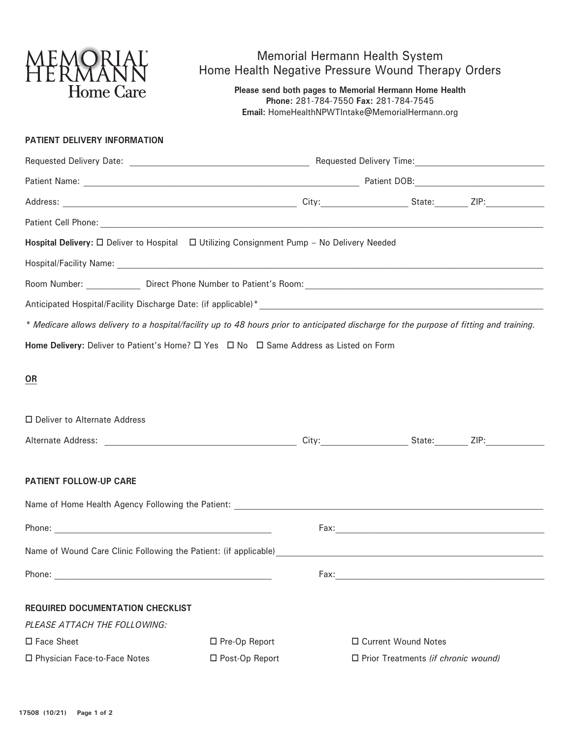

## Memorial Hermann Health System Home Health Negative Pressure Wound Therapy Orders

**Please send both pages to Memorial Hermann Home Health Phone:** 281-784-7550 **Fax:** 281-784-7545 **Email:** HomeHealthNPWTIntake@MemorialHermann.org

## **PATIENT DELIVERY INFORMATION**

| Hospital Delivery: □ Deliver to Hospital □ Utilizing Consignment Pump - No Delivery Needed                                               |                  |      |                                                                                           |  |  |  |
|------------------------------------------------------------------------------------------------------------------------------------------|------------------|------|-------------------------------------------------------------------------------------------|--|--|--|
|                                                                                                                                          |                  |      |                                                                                           |  |  |  |
|                                                                                                                                          |                  |      |                                                                                           |  |  |  |
|                                                                                                                                          |                  |      |                                                                                           |  |  |  |
| * Medicare allows delivery to a hospital/facility up to 48 hours prior to anticipated discharge for the purpose of fitting and training. |                  |      |                                                                                           |  |  |  |
| Home Delivery: Deliver to Patient's Home? □ Yes □ No □ Same Address as Listed on Form                                                    |                  |      |                                                                                           |  |  |  |
|                                                                                                                                          |                  |      |                                                                                           |  |  |  |
| OR                                                                                                                                       |                  |      |                                                                                           |  |  |  |
|                                                                                                                                          |                  |      |                                                                                           |  |  |  |
| □ Deliver to Alternate Address                                                                                                           |                  |      |                                                                                           |  |  |  |
|                                                                                                                                          |                  |      |                                                                                           |  |  |  |
|                                                                                                                                          |                  |      |                                                                                           |  |  |  |
| PATIENT FOLLOW-UP CARE                                                                                                                   |                  |      |                                                                                           |  |  |  |
|                                                                                                                                          |                  |      |                                                                                           |  |  |  |
|                                                                                                                                          |                  |      |                                                                                           |  |  |  |
|                                                                                                                                          |                  |      |                                                                                           |  |  |  |
|                                                                                                                                          |                  |      |                                                                                           |  |  |  |
|                                                                                                                                          |                  | Fax: | the control of the control of the control of the control of the control of the control of |  |  |  |
| <b>REQUIRED DOCUMENTATION CHECKLIST</b>                                                                                                  |                  |      |                                                                                           |  |  |  |
| PLEASE ATTACH THE FOLLOWING:                                                                                                             |                  |      |                                                                                           |  |  |  |
| □ Face Sheet                                                                                                                             | □ Pre-Op Report  |      | □ Current Wound Notes                                                                     |  |  |  |
| □ Physician Face-to-Face Notes                                                                                                           | □ Post-Op Report |      | $\Box$ Prior Treatments (if chronic wound)                                                |  |  |  |